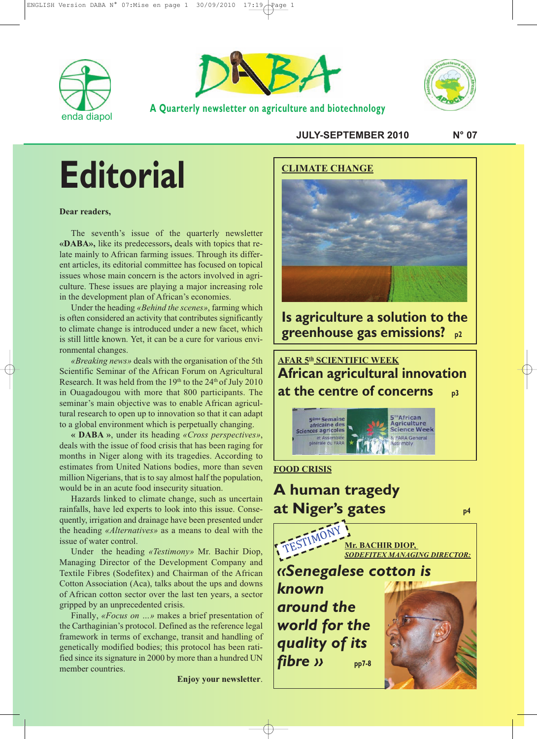



**A Quarterly newsletter on agriculture and biotechnology**



**JULY-SEPTEMBER 2010 N° 07**

# **Editorial**

#### **Dear readers,**

The seventh's issue of the quarterly newsletter **«DABA»,** like its predecessors**,** deals with topics that relate mainly to African farming issues. Through its different articles, its editorial committee has focused on topical issues whose main concern is the actors involved in agriculture. These issues are playing a major increasing role in the development plan of African's economies.

Under the heading *«Behind the scenes»*, farming which is often considered an activity that contributes significantly to climate change is introduced under a new facet, which is still little known. Yet, it can be a cure for various environmental changes.

*«Breaking news»* deals with the organisation of the 5th Scientific Seminar of the African Forum on Agricultural Research. It was held from the  $19<sup>th</sup>$  to the  $24<sup>th</sup>$  of July 2010 in Ouagadougou with more that 800 participants. The seminar's main objective was to enable African agricultural research to open up to innovation so that it can adapt to a global environment which is perpetually changing.

**« DABA »**, under its heading *«Cross perspectives»*, deals with the issue of food crisis that has been raging for months in Niger along with its tragedies. According to estimates from United Nations bodies, more than seven million Nigerians, that is to say almost half the population, would be in an acute food insecurity situation.

Hazards linked to climate change, such as uncertain rainfalls, have led experts to look into this issue. Consequently, irrigation and drainage have been presented under the heading *«Alternatives»* as a means to deal with the issue of water control.

Under the heading *«Testimony»* Mr. Bachir Diop, Managing Director of the Development Company and Textile Fibres (Sodefitex) and Chairman of the African Cotton Association (Aca), talks about the ups and downs of African cotton sector over the last ten years, a sector gripped by an unprecedented crisis.

Finally, *«Focus on …»* makes a brief presentation of the Carthaginian's protocol. Defined as the reference legal framework in terms of exchange, transit and handling of genetically modified bodies; this protocol has been ratified since its signature in 2000 by more than a hundred UN member countries.

**Enjoy your newsletter**.



**Is agriculture a solution to the greenhouse gas emissions? p2**

**AFAR 5th SCIENTIFIC WEEK African agricultural innovation at the centre of concerns p3**  $5<sup>th</sup>$ African me Semaine Agriculture africaine des<br>Sciences agricoles **Science Week** 

**FARA General** 

#### **FOOD CRISIS**

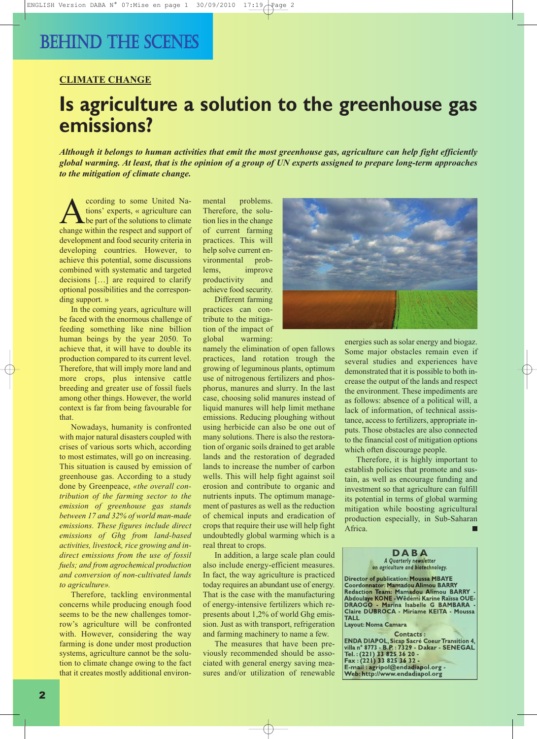### BEHIND THE SCENES

#### **CLIMATE CHANGE**

### **Is agriculture a solution to the greenhouse gas emissions?**

Although it belongs to human activities that emit the most greenhouse gas, agriculture can help fight efficiently global warming. At least, that is the opinion of a group of UN experts assigned to prepare long-term approaches *to the mitigation of climate change.*

cording to some United Na-<br>tions' experts, « agriculture can<br>change within the respect and support of tions' experts, « agriculture can be part of the solutions to climate change within the respect and support of development and food security criteria in developing countries. However, to achieve this potential, some discussions combined with systematic and targeted decisions […] are required to clarify optional possibilities and the corresponding support. »

In the coming years, agriculture will be faced with the enormous challenge of feeding something like nine billion human beings by the year 2050. To achieve that, it will have to double its production compared to its current level. Therefore, that will imply more land and more crops, plus intensive cattle breeding and greater use of fossil fuels among other things. However, the world context is far from being favourable for that.

Nowadays, humanity is confronted with major natural disasters coupled with crises of various sorts which, according to most estimates, will go on increasing. This situation is caused by emission of greenhouse gas. According to a study done by Greenpeace, *«the overall contribution of the farming sector to the emission of greenhouse gas stands between 17 and 32% of world man-made emissions. These figures include direct emissions of Ghg from land-based activities, livestock, rice growing and indirect emissions from the use of fossil fuels; and from agrochemical production and conversion of non-cultivated lands to agriculture».*

Therefore, tackling environmental concerns while producing enough food seems to be the new challenges tomorrow's agriculture will be confronted with. However, considering the way farming is done under most production systems, agriculture cannot be the solution to climate change owing to the fact that it creates mostly additional environmental problems. Therefore, the solution lies in the change of current farming practices. This will help solve current environmental problems, improve productivity and achieve food security.

Different farming practices can contribute to the mitigation of the impact of global warming:

namely the elimination of open fallows practices, land rotation trough the growing of leguminous plants, optimum use of nitrogenous fertilizers and phosphorus, manures and slurry. In the last case, choosing solid manures instead of liquid manures will help limit methane emissions. Reducing ploughing without using herbicide can also be one out of many solutions. There is also the restoration of organic soils drained to get arable lands and the restoration of degraded lands to increase the number of carbon wells. This will help fight against soil erosion and contribute to organic and nutrients inputs. The optimum management of pastures as well as the reduction of chemical inputs and eradication of crops that require their use will help fight undoubtedly global warming which is a real threat to crops.

In addition, a large scale plan could also include energy-efficient measures. In fact, the way agriculture is practiced today requires an abundant use of energy. That is the case with the manufacturing of energy-intensive fertilizers which represents about 1,2% of world Ghg emission. Just as with transport, refrigeration and farming machinery to name a few.

The measures that have been previously recommended should be associated with general energy saving measures and/or utilization of renewable



energies such as solar energy and biogaz. Some major obstacles remain even if several studies and experiences have demonstrated that it is possible to both increase the output of the lands and respect the environment. These impediments are as follows: absence of a political will, a lack of information, of technical assistance, access to fertilizers, appropriate inputs. Those obstacles are also connected to the financial cost of mitigation options which often discourage people.

Therefore, it is highly important to establish policies that promote and sustain, as well as encourage funding and investment so that agriculture can fulfill its potential in terms of global warming mitigation while boosting agricultural production especially, in Sub-Saharan Africa.

#### **D A B A** *A Quarterly newsletter on agriculture and biotechnology.*

**Director of publication: Moussa MBAYE Coordonnator: Mamadou Alimou BARRY Redaction Team: Mamadou Alimou BARRY - Abdoulaye KONE -Wêdémi Karine Raïssa OUE-DRAOGO - Marina Isabelle G BAMBARA - Claire DUBROCA - Miriame KEITA - Moussa TALL**

**Layout: Noma Camara**

Contacts :<br>ENDA DIAPOL, Sicap Sacré Coeur Transition 4,<br>villa n° 8773 - B.P. : 7329 - Dakar - SENEGAL **Tel. :(221) 33 825 36 20 - Fax :(221) 33 825 36 32 - E-mail : agripol@endadiapol.org - Web: http://www.endadiapol.org**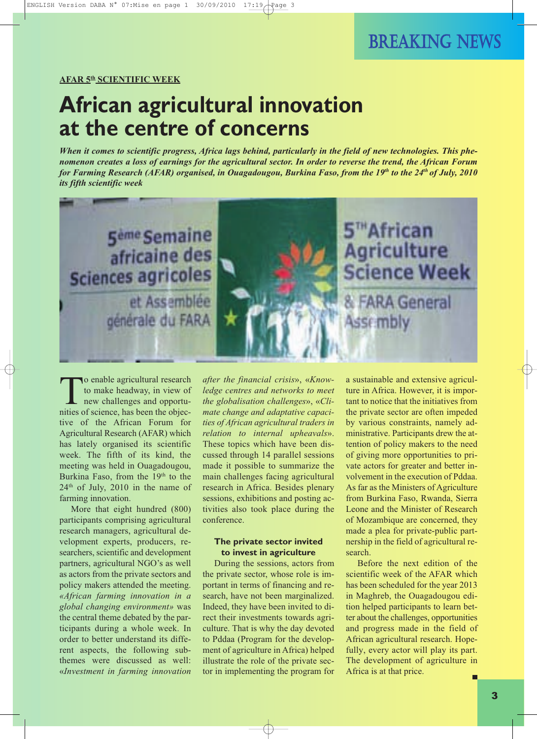### BREAKING NEWS

#### **AFAR 5th SCIENTIFIC WEEK**

### **African agricultural innovation at the centre of concerns**

When it comes to scientific progress, Africa lags behind, particularly in the field of new technologies. This phenomenon creates a loss of earnings for the agricultural sector. In order to reverse the trend, the African Forum for Farming Research (AFAR) organised, in Ouagadougou, Burkina Faso, from the 19th to the 24th of July, 2010 *its fifth scientific week*



To enable agricultural research to make headway, in view of new challenges and opportunities of science, has been the objective of the African Forum for Agricultural Research (AFAR) which has lately organised its scientific week. The fifth of its kind, the meeting was held in Ouagadougou, Burkina Faso, from the 19<sup>th</sup> to the  $24<sup>th</sup>$  of July,  $2010$  in the name of farming innovation.

More that eight hundred (800) participants comprising agricultural research managers, agricultural development experts, producers, researchers, scientific and development partners, agricultural NGO's as well as actors from the private sectors and policy makers attended the meeting. *«African farming innovation in a global changing environment»* was the central theme debated by the participants during a whole week. In order to better understand its different aspects, the following subthemes were discussed as well: «*Investment in farming innovation*

*after the financial crisis*», «*Knowledge centres and networks to meet the globalisation challenges*», «*Climate change and adaptative capacities of African agricultural traders in relation to internal upheavals*». These topics which have been discussed through 14 parallel sessions made it possible to summarize the main challenges facing agricultural research in Africa. Besides plenary sessions, exhibitions and posting activities also took place during the conference.

#### **The private sector invited to invest in agriculture**

During the sessions, actors from the private sector, whose role is important in terms of financing and research, have not been marginalized. Indeed, they have been invited to direct their investments towards agriculture. That is why the day devoted to Pddaa (Program for the development of agriculture in Africa) helped illustrate the role of the private sector in implementing the program for a sustainable and extensive agriculture in Africa. However, it is important to notice that the initiatives from the private sector are often impeded by various constraints, namely administrative. Participants drew the attention of policy makers to the need of giving more opportunities to private actors for greater and better involvement in the execution of Pddaa. As far as the Ministers of Agriculture from Burkina Faso, Rwanda, Sierra Leone and the Minister of Research of Mozambique are concerned, they made a plea for private-public partnership in the field of agricultural research.

Before the next edition of the scientific week of the AFAR which has been scheduled for the year 2013 in Maghreb, the Ouagadougou edition helped participants to learn better about the challenges, opportunities and progress made in the field of African agricultural research. Hopefully, every actor will play its part. The development of agriculture in Africa is at that price.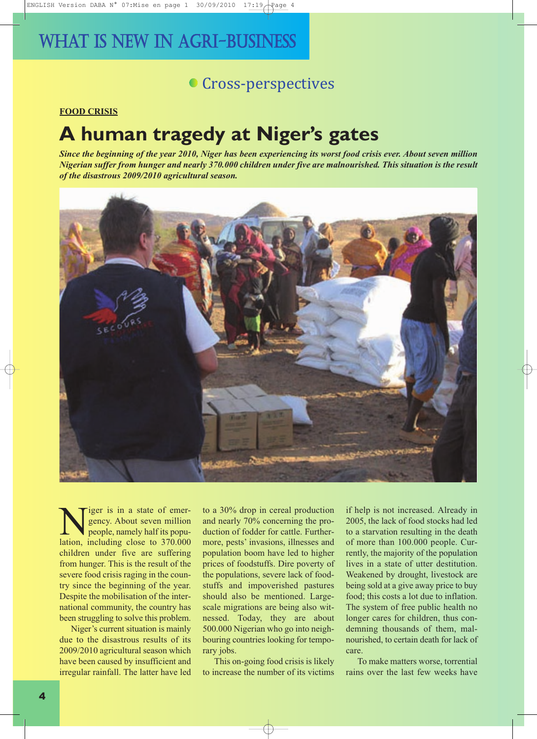### **Cross-perspectives**

#### **FOOD CRISIS**

### **A human tragedy at Niger's gates**

Since the beginning of the year 2010, Niger has been experiencing its worst food crisis ever. About seven million Nigerian suffer from hunger and nearly 370.000 children under five are malnourished. This situation is the result *of the disastrous 2009/2010 agricultural season.*



iger is in a state of emergency. About seven million people, namely half its population, including close to 370.000 children under five are suffering from hunger. This is the result of the severe food crisis raging in the country since the beginning of the year. Despite the mobilisation of the international community, the country has been struggling to solve this problem.

Niger's current situation is mainly due to the disastrous results of its 2009/2010 agricultural season which have been caused by insufficient and irregular rainfall. The latter have led

to a 30% drop in cereal production and nearly 70% concerning the production of fodder for cattle. Furthermore, pests' invasions, illnesses and population boom have led to higher prices of foodstuffs. Dire poverty of the populations, severe lack of foodstuffs and impoverished pastures should also be mentioned. Largescale migrations are being also witnessed. Today, they are about 500.000 Nigerian who go into neighbouring countries looking for temporary jobs.

This on-going food crisis is likely to increase the number of its victims if help is not increased. Already in 2005, the lack of food stocks had led to a starvation resulting in the death of more than 100.000 people. Currently, the majority of the population lives in a state of utter destitution. Weakened by drought, livestock are being sold at a give away price to buy food; this costs a lot due to inflation. The system of free public health no longer cares for children, thus condemning thousands of them, malnourished, to certain death for lack of care.

To make matters worse, torrential rains over the last few weeks have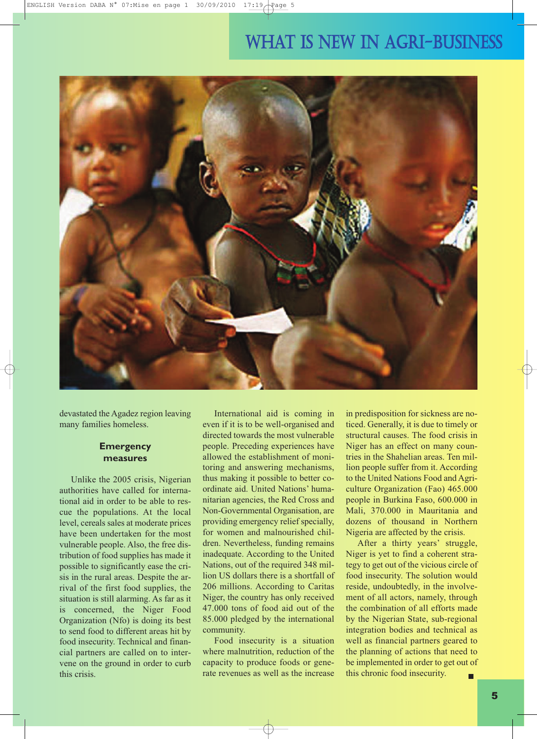

devastated the Agadez region leaving many families homeless.

#### **Emergency measures**

Unlike the 2005 crisis, Nigerian authorities have called for international aid in order to be able to rescue the populations. At the local level, cereals sales at moderate prices have been undertaken for the most vulnerable people. Also, the free distribution of food supplies has made it possible to significantly ease the crisis in the rural areas. Despite the arrival of the first food supplies, the situation is still alarming. As far as it is concerned, the Niger Food Organization (Nfo) is doing its best to send food to different areas hit by food insecurity. Technical and financial partners are called on to intervene on the ground in order to curb this crisis.

International aid is coming in even if it is to be well-organised and directed towards the most vulnerable people. Preceding experiences have allowed the establishment of monitoring and answering mechanisms, thus making it possible to better coordinate aid. United Nations' humanitarian agencies, the Red Cross and Non-Governmental Organisation, are providing emergency relief specially, for women and malnourished children. Nevertheless, funding remains inadequate. According to the United Nations, out of the required 348 million US dollars there is a shortfall of 206 millions. According to Caritas Niger, the country has only received 47.000 tons of food aid out of the 85.000 pledged by the international community.

Food insecurity is a situation where malnutrition, reduction of the capacity to produce foods or generate revenues as well as the increase in predisposition for sickness are noticed. Generally, it is due to timely or structural causes. The food crisis in Niger has an effect on many countries in the Shahelian areas. Ten million people suffer from it. According to the United Nations Food and Agriculture Organization (Fao) 465.000 people in Burkina Faso, 600.000 in Mali, 370.000 in Mauritania and dozens of thousand in Northern Nigeria are affected by the crisis.

After a thirty years' struggle, Niger is yet to find a coherent strategy to get out of the vicious circle of food insecurity. The solution would reside, undoubtedly, in the involvement of all actors, namely, through the combination of all efforts made by the Nigerian State, sub-regional integration bodies and technical as well as financial partners geared to the planning of actions that need to be implemented in order to get out of this chronic food insecurity.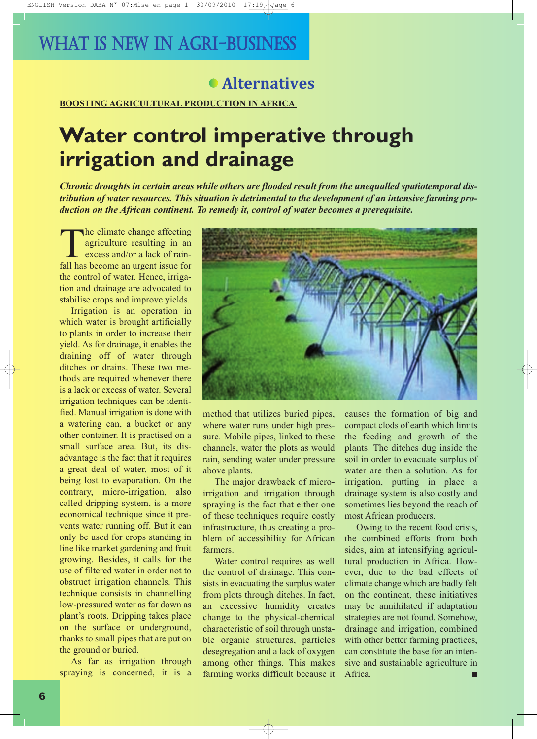### **Alternatives**

**BOOSTING AGRICULTURAL PRODUCTION IN AFRICA**

# **Water control imperative through irrigation and drainage**

*Chronic droughts in certain areas while others are flooded result from the unequalled spatiotemporal distribution of water resources. This situation is detrimental to the development of an intensive farming production on the African continent. To remedy it, control of water becomes a prerequisite.*

The climate change affecting<br>agriculture resulting in an<br>excess and/or a lack of rain-<br>fall has become an urgent issue for agriculture resulting in an excess and/or a lack of rainfall has become an urgent issue for the control of water. Hence, irrigation and drainage are advocated to stabilise crops and improve yields.

Irrigation is an operation in which water is brought artificially to plants in order to increase their yield. As for drainage, it enables the draining off of water through ditches or drains. These two methods are required whenever there is a lack or excess of water. Several irrigation techniques can be identified. Manual irrigation is done with a watering can, a bucket or any other container. It is practised on a small surface area. But, its disadvantage is the fact that it requires a great deal of water, most of it being lost to evaporation. On the contrary, micro-irrigation, also called dripping system, is a more economical technique since it prevents water running off. But it can only be used for crops standing in line like market gardening and fruit growing. Besides, it calls for the use of filtered water in order not to obstruct irrigation channels. This technique consists in channelling low-pressured water as far down as plant's roots. Dripping takes place on the surface or underground, thanks to small pipes that are put on the ground or buried.

As far as irrigation through spraying is concerned, it is a



method that utilizes buried pipes, where water runs under high pressure. Mobile pipes, linked to these channels, water the plots as would rain, sending water under pressure above plants.

The major drawback of microirrigation and irrigation through spraying is the fact that either one of these techniques require costly infrastructure, thus creating a problem of accessibility for African farmers.

Water control requires as well the control of drainage. This consists in evacuating the surplus water from plots through ditches. In fact, an excessive humidity creates change to the physical-chemical characteristic of soil through unstable organic structures, particles desegregation and a lack of oxygen among other things. This makes farming works difficult because it

causes the formation of big and compact clods of earth which limits the feeding and growth of the plants. The ditches dug inside the soil in order to evacuate surplus of water are then a solution. As for irrigation, putting in place a drainage system is also costly and sometimes lies beyond the reach of most African producers.

Owing to the recent food crisis, the combined efforts from both sides, aim at intensifying agricultural production in Africa. However, due to the bad effects of climate change which are badly felt on the continent, these initiatives may be annihilated if adaptation strategies are not found. Somehow, drainage and irrigation, combined with other better farming practices, can constitute the base for an intensive and sustainable agriculture in Africa.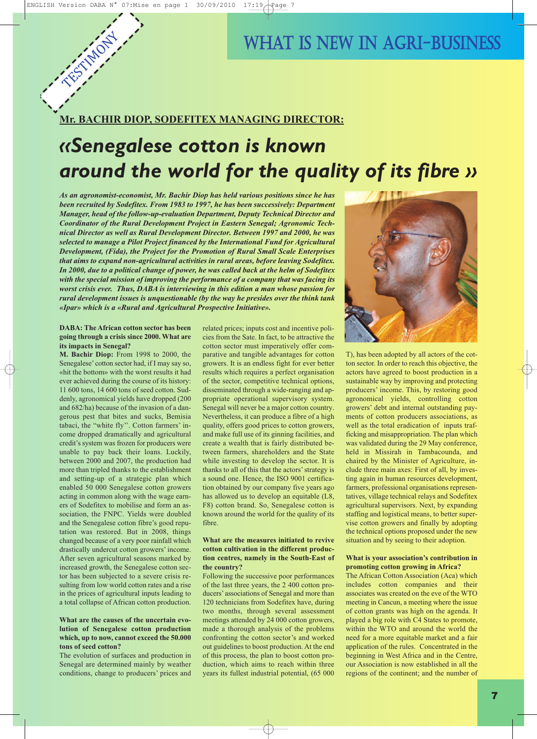TESTIMONY

### WHAT IS NEW IN AGRI-BUSINESS

### **Mr. BACHIR DIOP, SODEFITEX MANAGING DIRECTOR:**

# *«Senegalese cotton is known around the world for the quality of its fibre »*

*As an agronomist-economist, Mr. Bachir Diop has held various positions since he has been recruited by Sodefitex. From 1983 to 1997, he has been successively: Department Manager, head of the follow-up-evaluation Department, Deputy Technical Director and Coordinator of the Rural Development Project in Eastern Senegal; Agronomic Technical Director as well as Rural Development Director. Between 1997 and 2000, he was selected to manage a Pilot Project financed by the International Fund for Agricultural Development, (Fida), the Project for the Promotion of Rural Small Scale Enterprises that aims to expand non-agricultural activities in rural areas, before leaving Sodefitex. In 2000, due to a political change of power, he was called back at the helm of Sodefitex with the special mission of improving the performance of a company that was facing its worst crisis ever. Thus, DABA is interviewing in this edition a man whose passion for rural development issues is unquestionable (by the way he presides over the think tank «Ipar» which is a «Rural and Agricultural Prospective Initiative».*

#### **DABA: The African cotton sector has been going through a crisis since 2000. What are its impacts in Senegal?**

**M. Bachir Diop:** From 1998 to 2000, the Senegalese' cotton sector had, if I may say so, «hit the bottom» with the worst results it had ever achieved during the course of its history: 11 600 tons, 14 600 tons of seed cotton. Suddenly, agronomical yields have dropped (200 and 682/ha) because of the invasion of a dangerous pest that bites and sucks, Bemisia tabaci, the "white fly''. Cotton farmers' income dropped dramatically and agricultural credit's system was frozen for producers were unable to pay back their loans. Luckily, between 2000 and 2007, the production had more than tripled thanks to the establishment and setting-up of a strategic plan which enabled 50 000 Senegalese cotton growers acting in common along with the wage earners of Sodefitex to mobilise and form an association, the FNPC. Yields were doubled and the Senegalese cotton fibre's good reputation was restored. But in 2008, things changed because of a very poor rainfall which drastically undercut cotton growers' income. After seven agricultural seasons marked by increased growth, the Senegalese cotton sector has been subjected to a severe crisis resulting from low world cotton rates and a rise in the prices of agricultural inputs leading to a total collapse of African cotton production.

#### **What are the causes of the uncertain evolution of Senegalese cotton production which, up to now, cannot exceed the 50.000 tons of seed cotton?**

The evolution of surfaces and production in Senegal are determined mainly by weather conditions, change to producers' prices and

related prices; inputs cost and incentive policies from the Sate. In fact, to be attractive the cotton sector must imperatively offer comparative and tangible advantages for cotton growers. It is an endless fight for ever better results which requires a perfect organisation of the sector, competitive technical options, disseminated through a wide-ranging and appropriate operational supervisory system. Senegal will never be a major cotton country. Nevertheless, it can produce a fibre of a high quality, offers good prices to cotton growers, and make full use of its ginning facilities, and create a wealth that is fairly distributed between farmers, shareholders and the State while investing to develop the sector. It is thanks to all of this that the actors'strategy is a sound one. Hence, the ISO 9001 certification obtained by our company five years ago has allowed us to develop an equitable (L8, F8) cotton brand. So, Senegalese cotton is known around the world for the quality of its fibre.

#### **What are the measures initiated to revive cotton cultivation in the different production centres, namely in the South-East of the country?**

Following the successive poor performances of the last three years, the 2 400 cotton producers' associations of Senegal and more than 120 technicians from Sodefitex have, during two months, through several assessment meetings attended by 24 000 cotton growers, made a thorough analysis of the problems confronting the cotton sector's and worked out guidelines to boost production. At the end of this process, the plan to boost cotton production, which aims to reach within three years its fullest industrial potential, (65 000



T), has been adopted by all actors of the cotton sector. In order to reach this objective, the actors have agreed to boost production in a sustainable way by improving and protecting producers' income. This, by restoring good agronomical yields, controlling cotton growers' debt and internal outstanding payments of cotton producers associations, as well as the total eradication of inputs trafficking and misappropriation. The plan which was validated during the 29 May conference, held in Missirah in Tambacounda, and chaired by the Minister of Agriculture, include three main axes: First of all, by investing again in human resources development, farmers, professional organisations representatives, village technical relays and Sodefitex agricultural supervisors. Next, by expanding staffing and logistical means, to better supervise cotton growers and finally by adopting the technical options proposed under the new situation and by seeing to their adoption.

#### **What is your association's contribution in promoting cotton growing in Africa?**

The African Cotton Association (Aca) which includes cotton companies and their associates was created on the eve of the WTO meeting in Cancun, a meeting where the issue of cotton grants was high on the agenda. It played a big role with C4 States to promote, within the WTO and around the world the need for a more equitable market and a fair application of the rules. Concentrated in the beginning in West Africa and in the Centre, our Association is now established in all the regions of the continent; and the number of